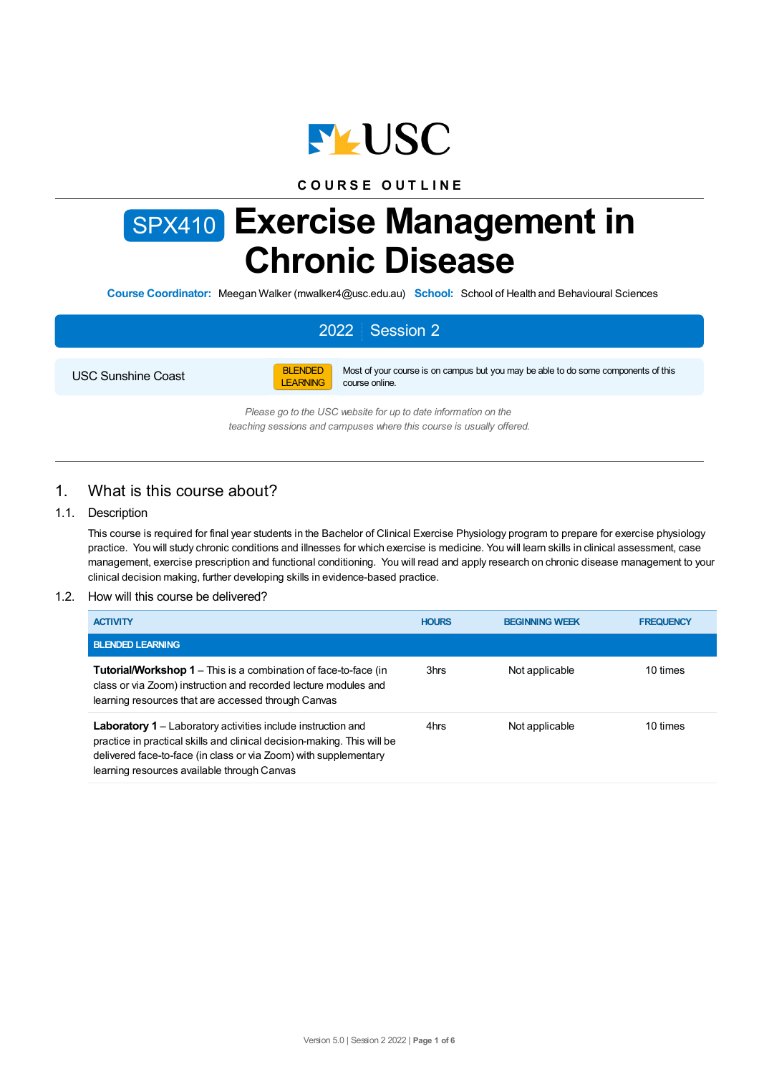

## **C O U R S E O U T L I N E**

# SPX410 **Exercise Management in Chronic Disease**

**Course Coordinator:** Meegan Walker (mwalker4@usc.edu.au) **School:** School of Health and Behavioural Sciences

# 2022 Session 2

USC Sunshine Coast



Most of your course is on campus but you may be able to do some components of this course online.

*Please go to the USC website for up to date information on the teaching sessions and campuses where this course is usually offered.*

## 1. What is this course about?

#### 1.1. Description

This course is required for final year students in the Bachelor of Clinical Exercise Physiology program to prepare for exercise physiology practice. You will study chronic conditions and illnesses for which exercise is medicine. You will learn skills in clinical assessment, case management, exercise prescription and functional conditioning. You will read and apply research on chronic disease management to your clinical decision making, further developing skills in evidence-based practice.

#### 1.2. How will this course be delivered?

| <b>ACTIVITY</b>                                                                                                                                                                                                                                                   | <b>HOURS</b> | <b>BEGINNING WEEK</b> | <b>FREQUENCY</b> |
|-------------------------------------------------------------------------------------------------------------------------------------------------------------------------------------------------------------------------------------------------------------------|--------------|-----------------------|------------------|
| <b>BLENDED LEARNING</b>                                                                                                                                                                                                                                           |              |                       |                  |
| <b>Tutorial/Workshop 1</b> – This is a combination of face-to-face (in<br>class or via Zoom) instruction and recorded lecture modules and<br>learning resources that are accessed through Canvas                                                                  | 3hrs         | Not applicable        | 10 times         |
| <b>Laboratory 1</b> – Laboratory activities include instruction and<br>practice in practical skills and clinical decision-making. This will be<br>delivered face-to-face (in class or via Zoom) with supplementary<br>learning resources available through Canvas | 4hrs         | Not applicable        | 10 times         |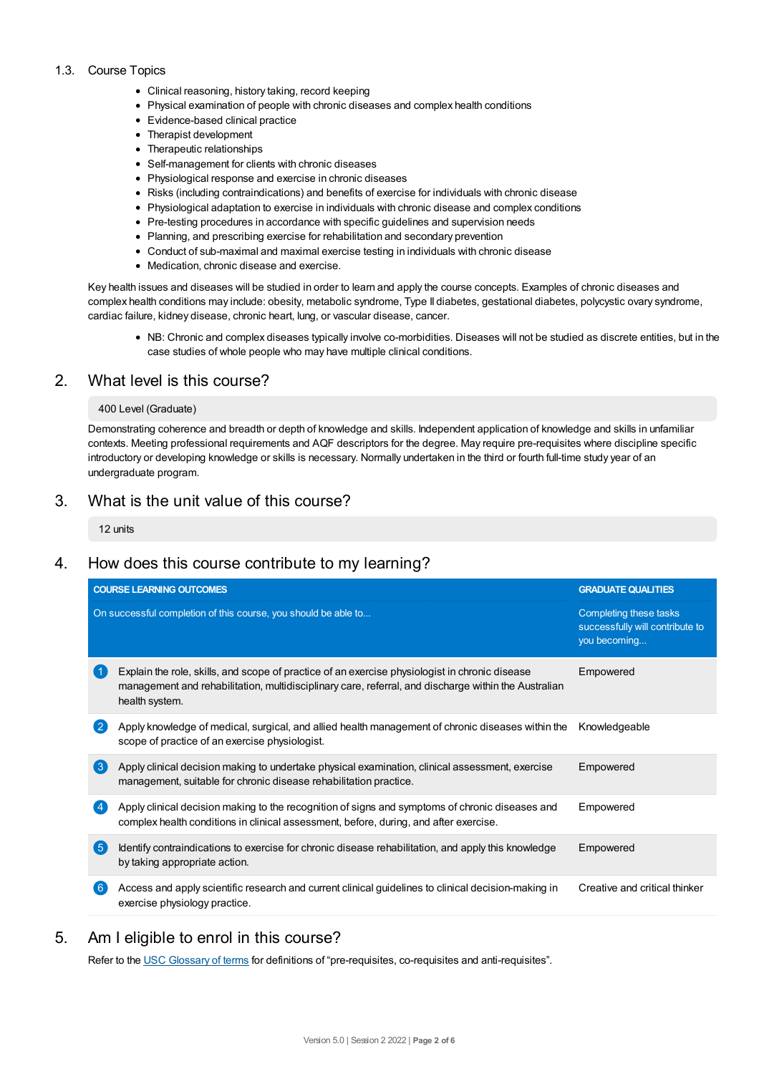#### 1.3. Course Topics

- Clinical reasoning, history taking, record keeping
- Physical examination of people with chronic diseases and complex health conditions
- Evidence-based clinical practice
- Therapist development
- Therapeutic relationships
- Self-management for clients with chronic diseases
- Physiological response and exercise in chronic diseases
- Risks (including contraindications) and benefits of exercise for individuals with chronic disease
- Physiological adaptation to exercise in individuals with chronic disease and complex conditions
- Pre-testing procedures in accordance with specific quidelines and supervision needs
- Planning, and prescribing exercise for rehabilitation and secondary prevention
- Conduct of sub-maximal and maximal exercise testing in individuals with chronic disease
- Medication, chronic disease and exercise.

Key health issues and diseases will be studied in order to learn and apply the course concepts. Examples of chronic diseases and complex health conditions may include: obesity, metabolic syndrome, Type II diabetes, gestational diabetes, polycystic ovary syndrome, cardiac failure, kidney disease, chronic heart, lung, or vascular disease, cancer.

NB: Chronic and complex diseases typically involve co-morbidities. Diseases will not be studied as discrete entities, but in the case studies of whole people who may have multiple clinical conditions.

## 2. What level is this course?

#### 400 Level (Graduate)

Demonstrating coherence and breadth or depth of knowledge and skills. Independent application of knowledge and skills in unfamiliar contexts. Meeting professional requirements and AQF descriptors for the degree. May require pre-requisites where discipline specific introductory or developing knowledge or skills is necessary. Normally undertaken in the third or fourth full-time study year of an undergraduate program.

## 3. What is the unit value of this course?

12 units

# 4. How does this course contribute to my learning?

| <b>COURSE LEARNING OUTCOMES</b> |                                                                                                                                                                                                                          | <b>GRADUATE QUALITIES</b>                                                 |  |
|---------------------------------|--------------------------------------------------------------------------------------------------------------------------------------------------------------------------------------------------------------------------|---------------------------------------------------------------------------|--|
|                                 | On successful completion of this course, you should be able to                                                                                                                                                           | Completing these tasks<br>successfully will contribute to<br>you becoming |  |
|                                 | Explain the role, skills, and scope of practice of an exercise physiologist in chronic disease<br>management and rehabilitation, multidisciplinary care, referral, and discharge within the Australian<br>health system. | Empowered                                                                 |  |
| $\overline{2}$                  | Apply knowledge of medical, surgical, and allied health management of chronic diseases within the<br>scope of practice of an exercise physiologist.                                                                      | Knowledgeable                                                             |  |
| $\left(3\right)$                | Apply clinical decision making to undertake physical examination, clinical assessment, exercise<br>management, suitable for chronic disease rehabilitation practice.                                                     | Empowered                                                                 |  |
|                                 | Apply clinical decision making to the recognition of signs and symptoms of chronic diseases and<br>complex health conditions in clinical assessment, before, during, and after exercise.                                 | Empowered                                                                 |  |
| (5                              | Identify contraindications to exercise for chronic disease rehabilitation, and apply this knowledge<br>by taking appropriate action.                                                                                     | Empowered                                                                 |  |
| -6                              | Access and apply scientific research and current clinical guidelines to clinical decision-making in<br>exercise physiology practice.                                                                                     | Creative and critical thinker                                             |  |

# 5. Am Ieligible to enrol in this course?

Refer to the USC [Glossary](https://www.usc.edu.au/about/policies-and-procedures/glossary-of-terms-for-policy-and-procedures) of terms for definitions of "pre-requisites, co-requisites and anti-requisites".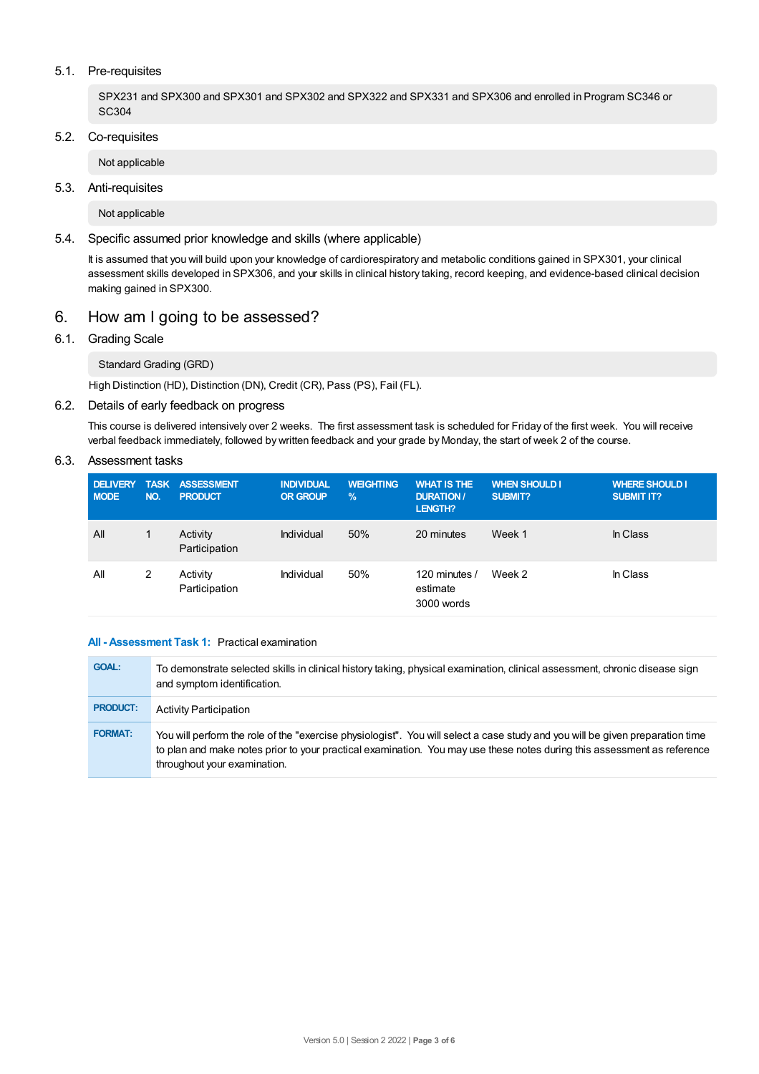#### 5.1. Pre-requisites

SPX231 and SPX300 and SPX301 and SPX302 and SPX322 and SPX331 and SPX306 and enrolled in Program SC346 or SC304

## 5.2. Co-requisites

Not applicable

## 5.3. Anti-requisites

Not applicable

#### 5.4. Specific assumed prior knowledge and skills (where applicable)

It is assumed that you will build upon your knowledge of cardiorespiratory and metabolic conditions gained in SPX301, your clinical assessment skills developed in SPX306, and your skills in clinical history taking, record keeping, and evidence-based clinical decision making gained in SPX300.

## 6. How am Igoing to be assessed?

#### 6.1. Grading Scale

Standard Grading (GRD)

High Distinction (HD), Distinction (DN), Credit (CR), Pass (PS), Fail (FL).

#### 6.2. Details of early feedback on progress

This course is delivered intensively over 2 weeks. The first assessment task is scheduled for Friday of the first week. You will receive verbal feedback immediately, followed by written feedback and your grade by Monday, the start of week 2 of the course.

#### 6.3. Assessment tasks

| <b>DELIVERY</b><br><b>MODE</b> | NO. | TASK ASSESSMENT<br><b>PRODUCT</b> | <b>INDIVIDUAL</b><br><b>OR GROUP</b> | <b>WEIGHTING</b><br>$\frac{9}{6}$ | <b>WHAT IS THE</b><br><b>DURATION /</b><br>LENGTH? | <b>WHEN SHOULD I</b><br>SUBMIT? | <b>WHERE SHOULD I</b><br><b>SUBMIT IT?</b> |
|--------------------------------|-----|-----------------------------------|--------------------------------------|-----------------------------------|----------------------------------------------------|---------------------------------|--------------------------------------------|
| All                            |     | Activity<br>Participation         | Individual                           | 50%                               | 20 minutes                                         | Week 1                          | In Class                                   |
| All                            | 2   | Activity<br>Participation         | Individual                           | 50%                               | 120 minutes /<br>estimate<br>3000 words            | Week 2                          | In Class                                   |

#### **All - Assessment Task 1:** Practical examination

| <b>GOAL:</b>    | To demonstrate selected skills in clinical history taking, physical examination, clinical assessment, chronic disease sign<br>and symptom identification.                                                                                                                                |
|-----------------|------------------------------------------------------------------------------------------------------------------------------------------------------------------------------------------------------------------------------------------------------------------------------------------|
| <b>PRODUCT:</b> | <b>Activity Participation</b>                                                                                                                                                                                                                                                            |
| <b>FORMAT:</b>  | You will perform the role of the "exercise physiologist". You will select a case study and you will be given preparation time<br>to plan and make notes prior to your practical examination. You may use these notes during this assessment as reference<br>throughout your examination. |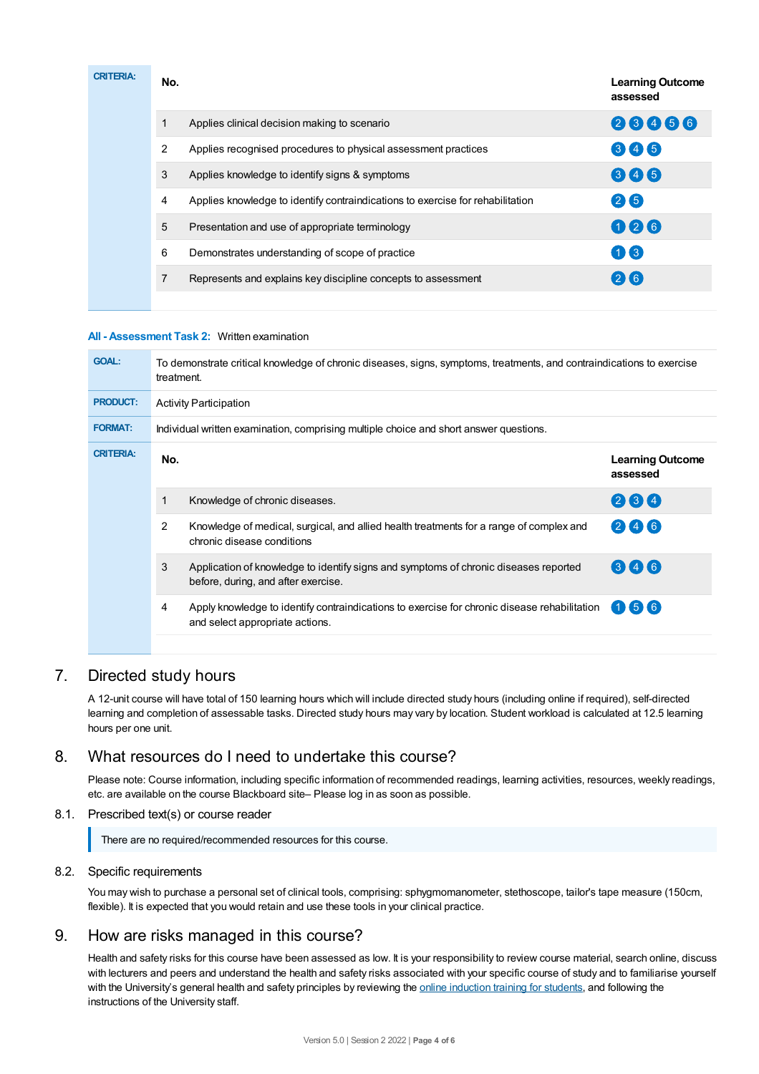| <b>CRITERIA:</b> | No. |                                                                                | <b>Learning Outcome</b><br>assessed |
|------------------|-----|--------------------------------------------------------------------------------|-------------------------------------|
|                  |     | Applies clinical decision making to scenario                                   | 23456                               |
|                  | 2   | Applies recognised procedures to physical assessment practices                 | 345                                 |
|                  | 3   | Applies knowledge to identify signs & symptoms                                 | 646                                 |
|                  | 4   | Applies knowledge to identify contraindications to exercise for rehabilitation | $(2)$ $(5)$                         |
|                  | 5   | Presentation and use of appropriate terminology                                | 026                                 |
|                  | 6   | Demonstrates understanding of scope of practice                                | $\left( 1\right)$ $\left( 3\right)$ |
|                  |     | Represents and explains key discipline concepts to assessment                  | 26                                  |
|                  |     |                                                                                |                                     |

#### **All - Assessment Task 2:** Written examination

| <b>GOAL:</b>     | To demonstrate critical knowledge of chronic diseases, signs, symptoms, treatments, and contraindications to exercise<br>treatment. |                                                                                                                                 |                                     |  |  |
|------------------|-------------------------------------------------------------------------------------------------------------------------------------|---------------------------------------------------------------------------------------------------------------------------------|-------------------------------------|--|--|
| <b>PRODUCT:</b>  | <b>Activity Participation</b>                                                                                                       |                                                                                                                                 |                                     |  |  |
| <b>FORMAT:</b>   | Individual written examination, comprising multiple choice and short answer questions.                                              |                                                                                                                                 |                                     |  |  |
| <b>CRITERIA:</b> | No.                                                                                                                                 |                                                                                                                                 | <b>Learning Outcome</b><br>assessed |  |  |
|                  | 1                                                                                                                                   | Knowledge of chronic diseases.                                                                                                  | 264                                 |  |  |
|                  | 2                                                                                                                                   | Knowledge of medical, surgical, and allied health treatments for a range of complex and<br>chronic disease conditions           | 246                                 |  |  |
|                  | 3                                                                                                                                   | Application of knowledge to identify signs and symptoms of chronic diseases reported<br>before, during, and after exercise.     | 346                                 |  |  |
|                  | 4                                                                                                                                   | Apply knowledge to identify contraindications to exercise for chronic disease rehabilitation<br>and select appropriate actions. | (5)(6)<br>61)                       |  |  |
|                  |                                                                                                                                     |                                                                                                                                 |                                     |  |  |

## 7. Directed study hours

A 12-unit course will have total of 150 learning hours which will include directed study hours (including online if required), self-directed learning and completion of assessable tasks. Directed study hours may vary by location. Student workload is calculated at 12.5 learning hours per one unit.

## 8. What resources do I need to undertake this course?

Please note: Course information, including specific information of recommended readings, learning activities, resources, weekly readings, etc. are available on the course Blackboard site– Please log in as soon as possible.

## 8.1. Prescribed text(s) or course reader

There are no required/recommended resources for this course.

#### 8.2. Specific requirements

You may wish to purchase a personal set of clinical tools, comprising: sphygmomanometer, stethoscope, tailor's tape measure (150cm, flexible). It is expected that you would retain and use these tools in your clinical practice.

## 9. How are risks managed in this course?

Health and safety risks for this course have been assessed as low. It is your responsibility to review course material, search online, discuss with lecturers and peers and understand the health and safety risks associated with your specific course of study and to familiarise yourself with the University's general health and safety principles by reviewing the online [induction](https://online.usc.edu.au/webapps/blackboard/content/listContentEditable.jsp?content_id=_632657_1&course_id=_14432_1) training for students, and following the instructions of the University staff.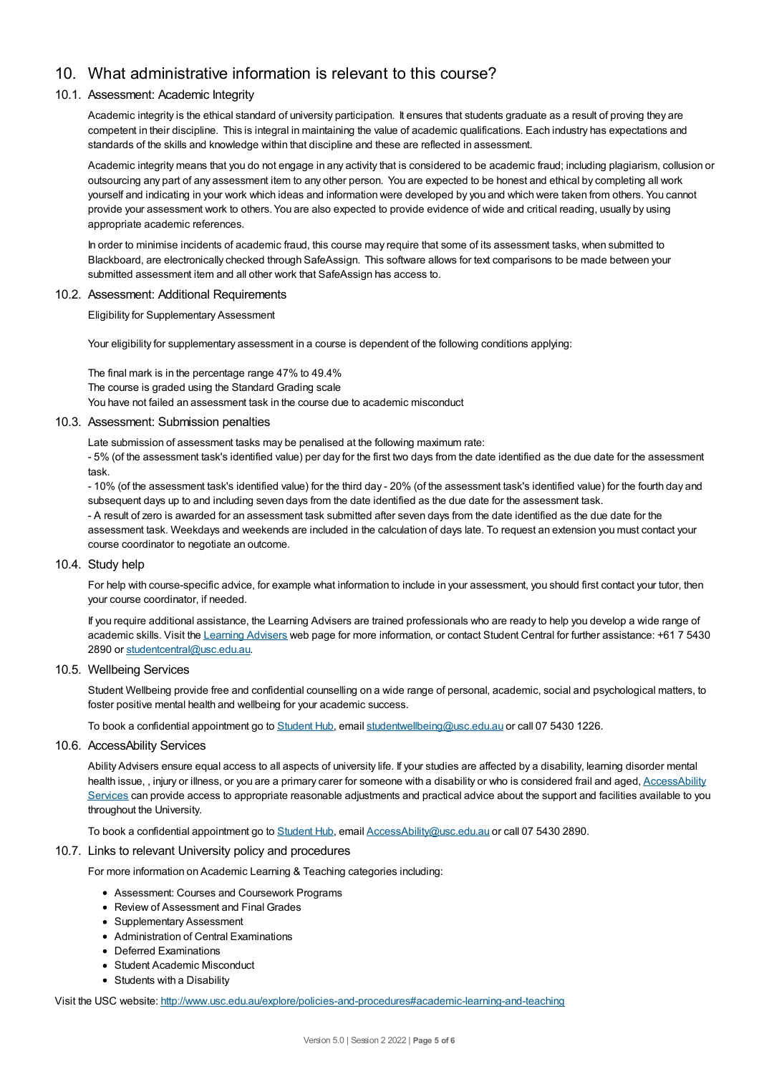# 10. What administrative information is relevant to this course?

#### 10.1. Assessment: Academic Integrity

Academic integrity is the ethical standard of university participation. It ensures that students graduate as a result of proving they are competent in their discipline. This is integral in maintaining the value of academic qualifications. Each industry has expectations and standards of the skills and knowledge within that discipline and these are reflected in assessment.

Academic integrity means that you do not engage in any activity that is considered to be academic fraud; including plagiarism, collusion or outsourcing any part of any assessment item to any other person. You are expected to be honest and ethical by completing all work yourself and indicating in your work which ideas and information were developed by you and which were taken from others. You cannot provide your assessment work to others.You are also expected to provide evidence of wide and critical reading, usually by using appropriate academic references.

In order to minimise incidents of academic fraud, this course may require that some of its assessment tasks, when submitted to Blackboard, are electronically checked through SafeAssign. This software allows for text comparisons to be made between your submitted assessment item and all other work that SafeAssign has access to.

#### 10.2. Assessment: Additional Requirements

Eligibility for Supplementary Assessment

Your eligibility for supplementary assessment in a course is dependent of the following conditions applying:

The final mark is in the percentage range 47% to 49.4% The course is graded using the Standard Grading scale You have not failed an assessment task in the course due to academic misconduct

#### 10.3. Assessment: Submission penalties

Late submission of assessment tasks may be penalised at the following maximum rate:

- 5% (of the assessment task's identified value) per day for the first two days from the date identified as the due date for the assessment task.

- 10% (of the assessment task's identified value) for the third day - 20% (of the assessment task's identified value) for the fourth day and subsequent days up to and including seven days from the date identified as the due date for the assessment task. - A result of zero is awarded for an assessment task submitted after seven days from the date identified as the due date for the

assessment task. Weekdays and weekends are included in the calculation of days late. To request an extension you must contact your course coordinator to negotiate an outcome.

#### 10.4. Study help

For help with course-specific advice, for example what information to include in your assessment, you should first contact your tutor, then your course coordinator, if needed.

If you require additional assistance, the Learning Advisers are trained professionals who are ready to help you develop a wide range of academic skills. Visit the Learning [Advisers](https://www.usc.edu.au/current-students/student-support/academic-and-study-support/learning-advisers) web page for more information, or contact Student Central for further assistance: +61 7 5430 2890 or [studentcentral@usc.edu.au](mailto:studentcentral@usc.edu.au).

#### 10.5. Wellbeing Services

Student Wellbeing provide free and confidential counselling on a wide range of personal, academic, social and psychological matters, to foster positive mental health and wellbeing for your academic success.

To book a confidential appointment go to [Student](https://studenthub.usc.edu.au/) Hub, email [studentwellbeing@usc.edu.au](mailto:studentwellbeing@usc.edu.au) or call 07 5430 1226.

#### 10.6. AccessAbility Services

Ability Advisers ensure equal access to all aspects of university life. If your studies are affected by a disability, learning disorder mental health issue,, injury or illness, or you are a primary carer for someone with a disability or who is considered frail and aged, [AccessAbility](https://www.usc.edu.au/learn/student-support/accessability-services/documentation-requirements) Services can provide access to appropriate reasonable adjustments and practical advice about the support and facilities available to you throughout the University.

To book a confidential appointment go to [Student](https://studenthub.usc.edu.au/) Hub, email [AccessAbility@usc.edu.au](mailto:AccessAbility@usc.edu.au) or call 07 5430 2890.

#### 10.7. Links to relevant University policy and procedures

For more information on Academic Learning & Teaching categories including:

- Assessment: Courses and Coursework Programs
- Review of Assessment and Final Grades
- Supplementary Assessment
- Administration of Central Examinations
- Deferred Examinations
- Student Academic Misconduct
- Students with a Disability

Visit the USC website: <http://www.usc.edu.au/explore/policies-and-procedures#academic-learning-and-teaching>